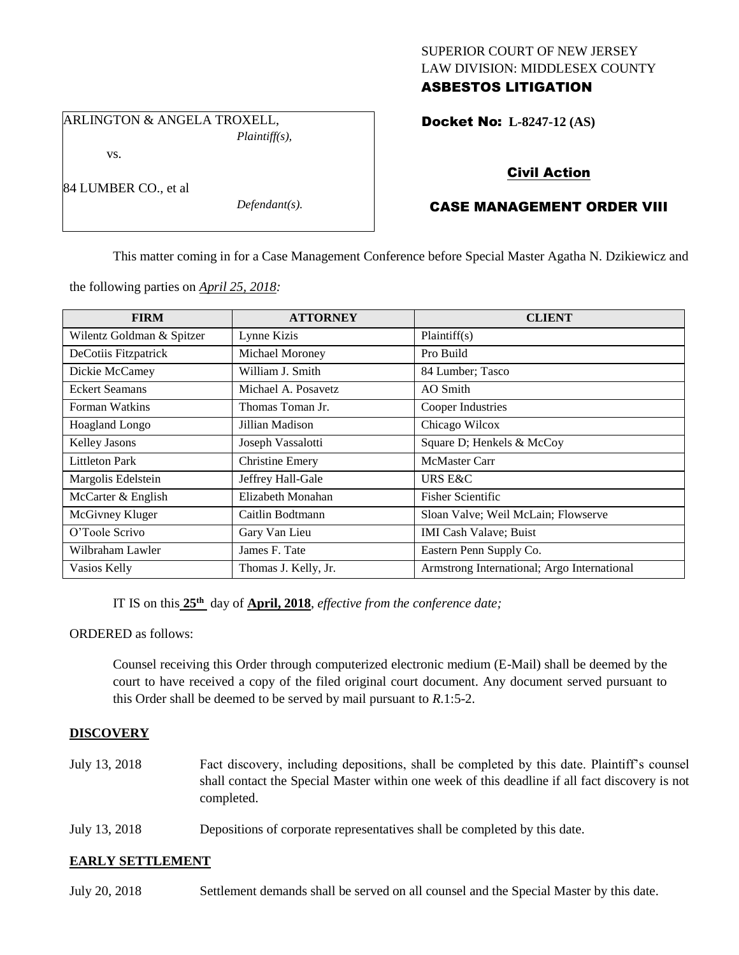## SUPERIOR COURT OF NEW JERSEY LAW DIVISION: MIDDLESEX COUNTY ASBESTOS LITIGATION

ARLINGTON & ANGELA TROXELL, *Plaintiff(s),*

vs.

84 LUMBER CO., et al

*Defendant(s).*

Docket No: **L-8247-12 (AS)** 

# Civil Action

## CASE MANAGEMENT ORDER VIII

This matter coming in for a Case Management Conference before Special Master Agatha N. Dzikiewicz and

the following parties on *April 25, 2018:*

| <b>FIRM</b>               | <b>ATTORNEY</b>        | <b>CLIENT</b>                               |
|---------------------------|------------------------|---------------------------------------------|
| Wilentz Goldman & Spitzer | Lynne Kizis            | Plaintiff(s)                                |
| DeCotiis Fitzpatrick      | Michael Moroney        | Pro Build                                   |
| Dickie McCamey            | William J. Smith       | 84 Lumber; Tasco                            |
| <b>Eckert Seamans</b>     | Michael A. Posavetz    | AO Smith                                    |
| Forman Watkins            | Thomas Toman Jr.       | Cooper Industries                           |
| Hoagland Longo            | Jillian Madison        | Chicago Wilcox                              |
| <b>Kelley Jasons</b>      | Joseph Vassalotti      | Square D; Henkels & McCoy                   |
| <b>Littleton Park</b>     | <b>Christine Emery</b> | <b>McMaster Carr</b>                        |
| Margolis Edelstein        | Jeffrey Hall-Gale      | URS E&C                                     |
| McCarter & English        | Elizabeth Monahan      | <b>Fisher Scientific</b>                    |
| McGivney Kluger           | Caitlin Bodtmann       | Sloan Valve; Weil McLain; Flowserve         |
| O'Toole Scrivo            | Gary Van Lieu          | <b>IMI Cash Valave; Buist</b>               |
| Wilbraham Lawler          | James F. Tate          | Eastern Penn Supply Co.                     |
| Vasios Kelly              | Thomas J. Kelly, Jr.   | Armstrong International; Argo International |

IT IS on this **25th** day of **April, 2018**, *effective from the conference date;*

ORDERED as follows:

Counsel receiving this Order through computerized electronic medium (E-Mail) shall be deemed by the court to have received a copy of the filed original court document. Any document served pursuant to this Order shall be deemed to be served by mail pursuant to *R*.1:5-2.

## **DISCOVERY**

- July 13, 2018 Fact discovery, including depositions, shall be completed by this date. Plaintiff's counsel shall contact the Special Master within one week of this deadline if all fact discovery is not completed.
- July 13, 2018 Depositions of corporate representatives shall be completed by this date.

## **EARLY SETTLEMENT**

July 20, 2018 Settlement demands shall be served on all counsel and the Special Master by this date.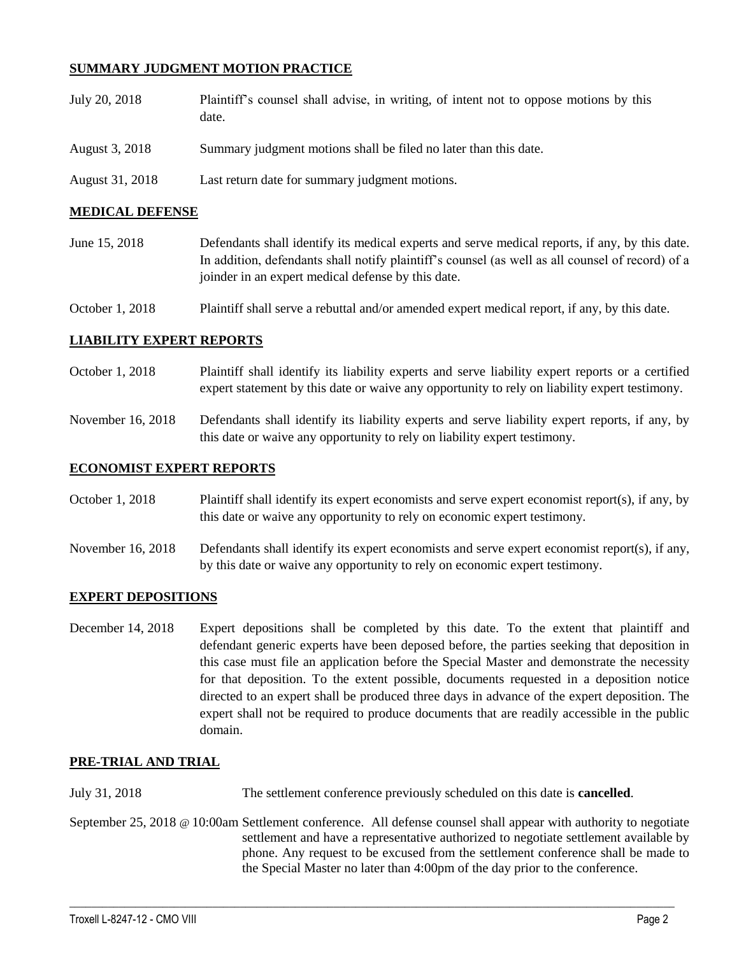## **SUMMARY JUDGMENT MOTION PRACTICE**

| July 20, 2018   | Plaintiff's counsel shall advise, in writing, of intent not to oppose motions by this<br>date. |
|-----------------|------------------------------------------------------------------------------------------------|
| August 3, 2018  | Summary judgment motions shall be filed no later than this date.                               |
| August 31, 2018 | Last return date for summary judgment motions.                                                 |

### **MEDICAL DEFENSE**

June 15, 2018 Defendants shall identify its medical experts and serve medical reports, if any, by this date. In addition, defendants shall notify plaintiff's counsel (as well as all counsel of record) of a joinder in an expert medical defense by this date.

October 1, 2018 Plaintiff shall serve a rebuttal and/or amended expert medical report, if any, by this date.

#### **LIABILITY EXPERT REPORTS**

- October 1, 2018 Plaintiff shall identify its liability experts and serve liability expert reports or a certified expert statement by this date or waive any opportunity to rely on liability expert testimony.
- November 16, 2018 Defendants shall identify its liability experts and serve liability expert reports, if any, by this date or waive any opportunity to rely on liability expert testimony.

#### **ECONOMIST EXPERT REPORTS**

- October 1, 2018 Plaintiff shall identify its expert economists and serve expert economist report(s), if any, by this date or waive any opportunity to rely on economic expert testimony.
- November 16, 2018 Defendants shall identify its expert economists and serve expert economist report(s), if any, by this date or waive any opportunity to rely on economic expert testimony.

#### **EXPERT DEPOSITIONS**

December 14, 2018 Expert depositions shall be completed by this date. To the extent that plaintiff and defendant generic experts have been deposed before, the parties seeking that deposition in this case must file an application before the Special Master and demonstrate the necessity for that deposition. To the extent possible, documents requested in a deposition notice directed to an expert shall be produced three days in advance of the expert deposition. The expert shall not be required to produce documents that are readily accessible in the public domain.

#### **PRE-TRIAL AND TRIAL**

July 31, 2018 The settlement conference previously scheduled on this date is **cancelled**.

September 25, 2018 @ 10:00am Settlement conference. All defense counsel shall appear with authority to negotiate settlement and have a representative authorized to negotiate settlement available by phone. Any request to be excused from the settlement conference shall be made to the Special Master no later than 4:00pm of the day prior to the conference.

 $\_$  ,  $\_$  ,  $\_$  ,  $\_$  ,  $\_$  ,  $\_$  ,  $\_$  ,  $\_$  ,  $\_$  ,  $\_$  ,  $\_$  ,  $\_$  ,  $\_$  ,  $\_$  ,  $\_$  ,  $\_$  ,  $\_$  ,  $\_$  ,  $\_$  ,  $\_$  ,  $\_$  ,  $\_$  ,  $\_$  ,  $\_$  ,  $\_$  ,  $\_$  ,  $\_$  ,  $\_$  ,  $\_$  ,  $\_$  ,  $\_$  ,  $\_$  ,  $\_$  ,  $\_$  ,  $\_$  ,  $\_$  ,  $\_$  ,